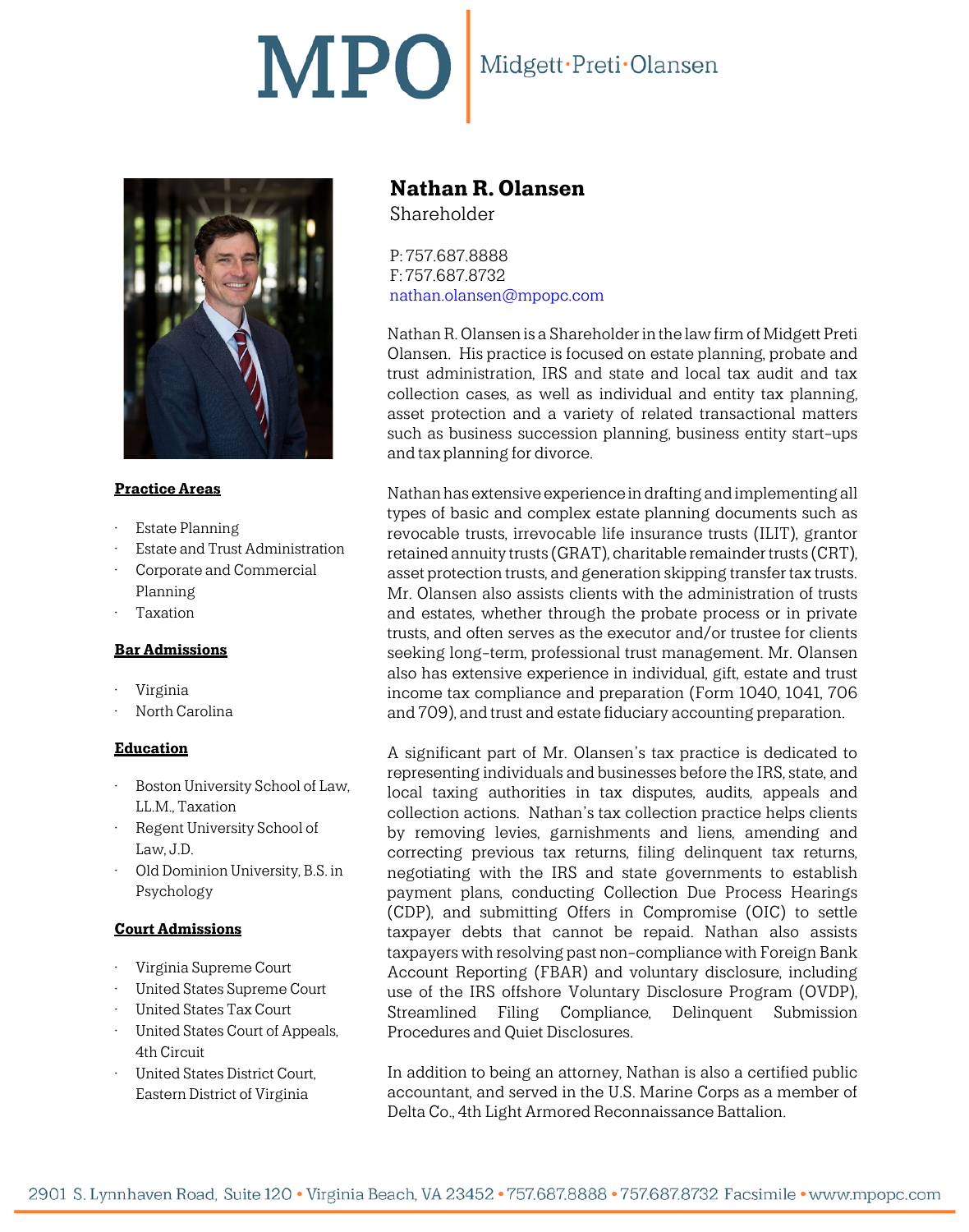# MPO Midgett·Preti·Olansen



## **Practice Areas**

- **Estate Planning**
- Estate and Trust Administration
- Corporate and Commercial Planning
- **Taxation**

## **Bar Admissions**

- Virginia
- North Carolina

## **Education**

- Boston University School of Law, LL.M., Taxation
- Regent University School of Law, J.D.
- Old Dominion University, B.S. in Psychology

## **Court Admissions**

- Virginia Supreme Court
- United States Supreme Court
- United States Tax Court
- United States Court of Appeals, 4th Circuit
- United States District Court, Eastern District of Virginia

## **Nathan R. Olansen**

Shareholder

P: 757.687.8888 F: 757.687.8732 [nathan.olansen@mpopc.com](mailto:nathan.olansen@mpopc.com)

Nathan R. Olansen is a Shareholder in the law firm of Midgett Preti Olansen. His practice is focused on estate planning, probate and trust administration, IRS and state and local tax audit and tax collection cases, as well as individual and entity tax planning, asset protection and a variety of related transactional matters such as business succession planning, business entity start-ups and tax planning for divorce.

Nathan has extensive experience in drafting and implementing all types of basic and complex estate planning documents such as revocable trusts, irrevocable life insurance trusts (ILIT), grantor retained annuity trusts (GRAT), charitable remainder trusts (CRT), asset protection trusts, and generation skipping transfer tax trusts. Mr. Olansen also assists clients with the administration of trusts and estates, whether through the probate process or in private trusts, and often serves as the executor and/or trustee for clients seeking long-term, professional trust management. Mr. Olansen also has extensive experience in individual, gift, estate and trust income tax compliance and preparation (Form 1040, 1041, 706 and 709), and trust and estate fiduciary accounting preparation.

A significant part of Mr. Olansen's tax practice is dedicated to representing individuals and businesses before the IRS, state, and local taxing authorities in tax disputes, audits, appeals and collection actions. Nathan's tax collection practice helps clients by removing levies, garnishments and liens, amending and correcting previous tax returns, filing delinquent tax returns, negotiating with the IRS and state governments to establish payment plans, conducting Collection Due Process Hearings (CDP), and submitting Offers in Compromise (OIC) to settle taxpayer debts that cannot be repaid. Nathan also assists taxpayers with resolving past non-compliance with Foreign Bank Account Reporting (FBAR) and voluntary disclosure, including use of the IRS offshore Voluntary Disclosure Program (OVDP), Streamlined Filing Compliance, Delinquent Submission Procedures and Quiet Disclosures.

In addition to being an attorney, Nathan is also a certified public accountant, and served in the U.S. Marine Corps as a member of Delta Co., 4th Light Armored Reconnaissance Battalion.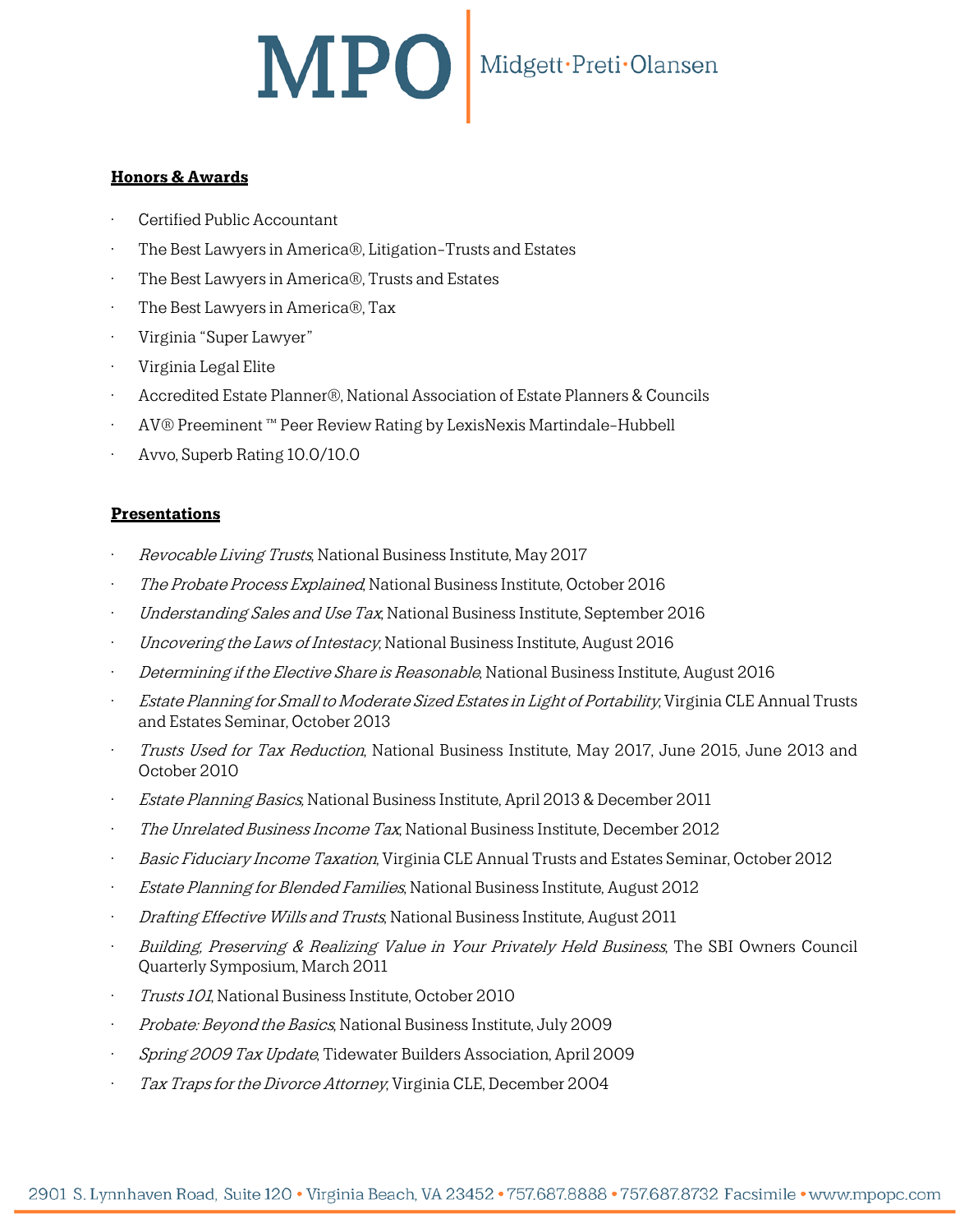## MPO Midgett·Preti·Olansen

## **Honors & Awards**

- Certified Public Accountant
- The Best Lawyers in America®, Litigation-Trusts and Estates
- The Best Lawyers in America®, Trusts and Estates
- The Best Lawyers in America®, Tax
- Virginia "Super Lawyer"
- Virginia Legal Elite
- Accredited Estate Planner®, National Association of Estate Planners & Councils
- AV® Preeminent ™ Peer Review Rating by LexisNexis Martindale-Hubbell
- Avvo, Superb Rating 10.0/10.0

## **Presentations**

- Revocable Living Trusts, National Business Institute, May 2017
- The Probate Process Explained, National Business Institute, October 2016
- Understanding Sales and Use Tax, National Business Institute, September 2016
- *Uncovering the Laws of Intestacy*, National Business Institute, August 2016
- Determining if the Elective Share is Reasonable, National Business Institute, August 2016
- Estate Planning for Small to Moderate Sized Estates in Light of Portability, Virginia CLE Annual Trusts and Estates Seminar, October 2013
- Trusts Used for Tax Reduction, National Business Institute, May 2017, June 2015, June 2013 and October 2010
- **Estate Planning Basics, National Business Institute, April 2013 & December 2011**
- The Unrelated Business Income Tax, National Business Institute, December 2012
- Basic Fiduciary Income Taxation, Virginia CLE Annual Trusts and Estates Seminar, October 2012
- Estate Planning for Blended Families, National Business Institute, August 2012
- Drafting Effective Wills and Trusts, National Business Institute, August 2011
- Building, Preserving & Realizing Value in Your Privately Held Business, The SBI Owners Council Quarterly Symposium, March 2011
- Trusts 101, National Business Institute, October 2010
- Probate: Beyond the Basics, National Business Institute, July 2009
- Spring 2009 Tax Update, Tidewater Builders Association, April 2009
- Tax Traps for the Divorce Attorney, Virginia CLE, December 2004